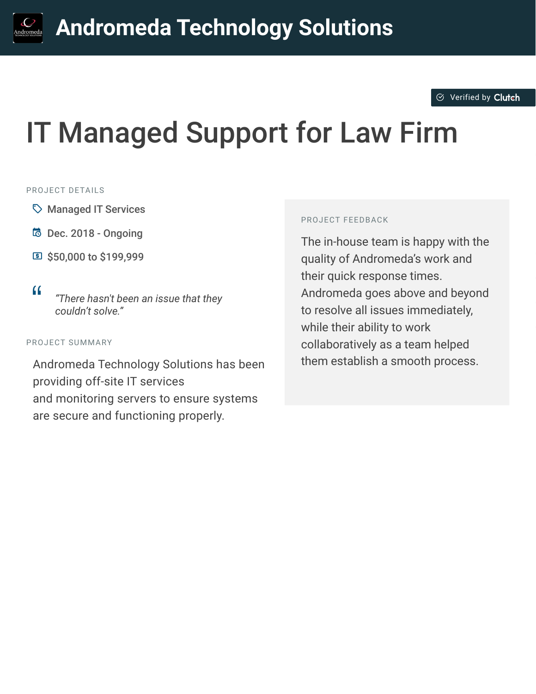#### $\otimes$  [Verified by](https://clutch.co?utm_source=case_studies&utm_medium=verified_by_clutch) Clutch

# IT Managed Support for Law Firm

#### PROJECT DETAILS

- $\heartsuit$  Managed IT Services
- B Dec. 2018 Ongoing
- **国 \$50,000 to \$199,999**
- 

<sup>D</sup> *"There hasn't been an issue that they couldn't solve."*

#### PROJECT SUMMARY

Andromeda Technology Solutions has been providing off-site IT services and monitoring servers to ensure systems are secure and functioning properly.

#### PROJECT FEEDBACK

The in-house team is happy with the quality of Andromeda's work and their quick response times. Andromeda goes above and beyond to resolve all issues immediately, while their ability to work collaboratively as a team helped them establish a smooth process.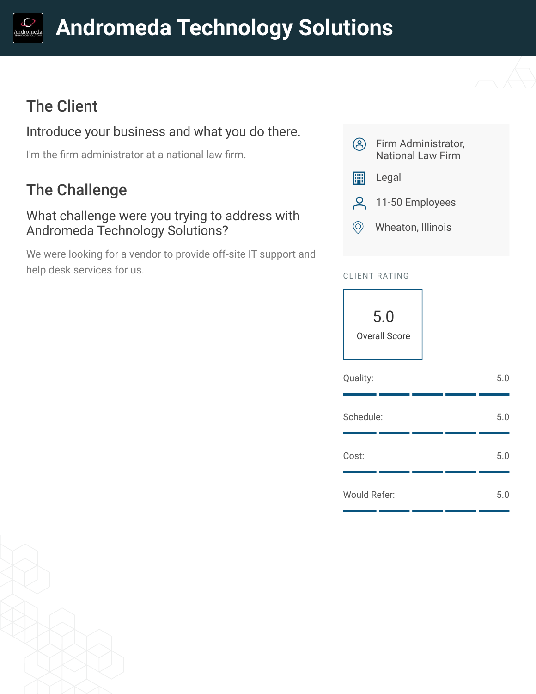# **[A](https://clutch.co/profile/andromeda-technology-solutions?utm_source=case_studies&utm_medium=logo)ndromeda Technology Solutions**

# The Client

## Introduce your business and what you do there.

I'm the firm administrator at a national law firm.

# The Challenge

### What challenge were you trying to address with Andromeda Technology Solutions?

We were looking for a vendor to provide off-site IT support and help desk services for us.



### CLIENT RATING



| Quality:     |  | 5.0 |
|--------------|--|-----|
| Schedule:    |  | 5.0 |
| Cost:        |  | 5.0 |
| Would Refer: |  | 5.0 |

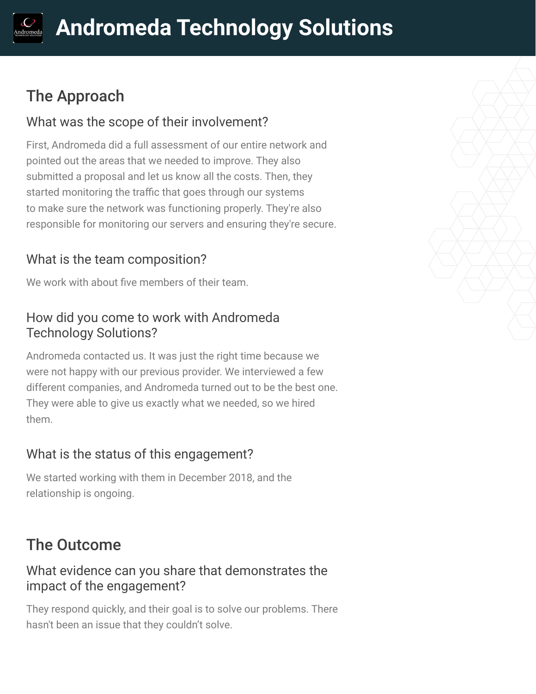# The Approach

## What was the scope of their involvement?

First, Andromeda did a full assessment of our entire network and pointed out the areas that we needed to improve. They also submitted a proposal and let us know all the costs. Then, they started monitoring the traffic that goes through our systems to make sure the network was functioning properly. They're also responsible for monitoring our servers and ensuring they're secure.

# What is the team composition?

We work with about five members of their team.

### How did you come to work with Andromeda Technology Solutions?

Andromeda contacted us. It was just the right time because we were not happy with our previous provider. We interviewed a few different companies, and Andromeda turned out to be the best one. They were able to give us exactly what we needed, so we hired them.

# What is the status of this engagement?

We started working with them in December 2018, and the relationship is ongoing.

# The Outcome

### What evidence can you share that demonstrates the impact of the engagement?

They respond quickly, and their goal is to solve our problems. There hasn't been an issue that they couldn't solve.